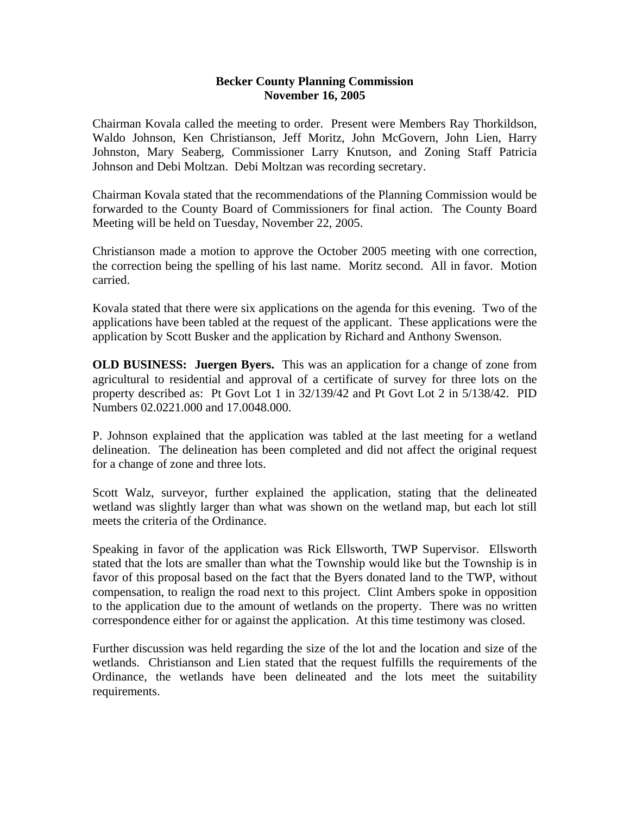## **Becker County Planning Commission November 16, 2005**

Chairman Kovala called the meeting to order. Present were Members Ray Thorkildson, Waldo Johnson, Ken Christianson, Jeff Moritz, John McGovern, John Lien, Harry Johnston, Mary Seaberg, Commissioner Larry Knutson, and Zoning Staff Patricia Johnson and Debi Moltzan. Debi Moltzan was recording secretary.

Chairman Kovala stated that the recommendations of the Planning Commission would be forwarded to the County Board of Commissioners for final action. The County Board Meeting will be held on Tuesday, November 22, 2005.

Christianson made a motion to approve the October 2005 meeting with one correction, the correction being the spelling of his last name. Moritz second. All in favor. Motion carried.

Kovala stated that there were six applications on the agenda for this evening. Two of the applications have been tabled at the request of the applicant. These applications were the application by Scott Busker and the application by Richard and Anthony Swenson.

**OLD BUSINESS: Juergen Byers.** This was an application for a change of zone from agricultural to residential and approval of a certificate of survey for three lots on the property described as: Pt Govt Lot 1 in 32/139/42 and Pt Govt Lot 2 in 5/138/42. PID Numbers 02.0221.000 and 17.0048.000.

P. Johnson explained that the application was tabled at the last meeting for a wetland delineation. The delineation has been completed and did not affect the original request for a change of zone and three lots.

Scott Walz, surveyor, further explained the application, stating that the delineated wetland was slightly larger than what was shown on the wetland map, but each lot still meets the criteria of the Ordinance.

Speaking in favor of the application was Rick Ellsworth, TWP Supervisor. Ellsworth stated that the lots are smaller than what the Township would like but the Township is in favor of this proposal based on the fact that the Byers donated land to the TWP, without compensation, to realign the road next to this project. Clint Ambers spoke in opposition to the application due to the amount of wetlands on the property. There was no written correspondence either for or against the application. At this time testimony was closed.

Further discussion was held regarding the size of the lot and the location and size of the wetlands. Christianson and Lien stated that the request fulfills the requirements of the Ordinance, the wetlands have been delineated and the lots meet the suitability requirements.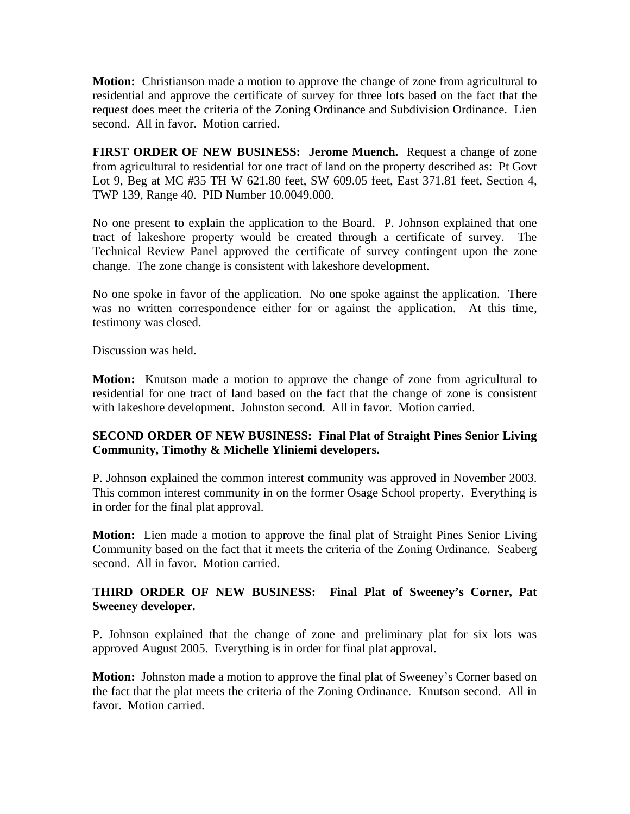**Motion:** Christianson made a motion to approve the change of zone from agricultural to residential and approve the certificate of survey for three lots based on the fact that the request does meet the criteria of the Zoning Ordinance and Subdivision Ordinance. Lien second. All in favor. Motion carried.

**FIRST ORDER OF NEW BUSINESS: Jerome Muench.** Request a change of zone from agricultural to residential for one tract of land on the property described as: Pt Govt Lot 9, Beg at MC #35 TH W 621.80 feet, SW 609.05 feet, East 371.81 feet, Section 4, TWP 139, Range 40. PID Number 10.0049.000.

No one present to explain the application to the Board. P. Johnson explained that one tract of lakeshore property would be created through a certificate of survey. The Technical Review Panel approved the certificate of survey contingent upon the zone change. The zone change is consistent with lakeshore development.

No one spoke in favor of the application. No one spoke against the application. There was no written correspondence either for or against the application. At this time, testimony was closed.

Discussion was held.

**Motion:** Knutson made a motion to approve the change of zone from agricultural to residential for one tract of land based on the fact that the change of zone is consistent with lakeshore development. Johnston second. All in favor. Motion carried.

## **SECOND ORDER OF NEW BUSINESS: Final Plat of Straight Pines Senior Living Community, Timothy & Michelle Yliniemi developers.**

P. Johnson explained the common interest community was approved in November 2003. This common interest community in on the former Osage School property. Everything is in order for the final plat approval.

**Motion:** Lien made a motion to approve the final plat of Straight Pines Senior Living Community based on the fact that it meets the criteria of the Zoning Ordinance. Seaberg second. All in favor. Motion carried.

## **THIRD ORDER OF NEW BUSINESS: Final Plat of Sweeney's Corner, Pat Sweeney developer.**

P. Johnson explained that the change of zone and preliminary plat for six lots was approved August 2005. Everything is in order for final plat approval.

**Motion:** Johnston made a motion to approve the final plat of Sweeney's Corner based on the fact that the plat meets the criteria of the Zoning Ordinance. Knutson second. All in favor. Motion carried.